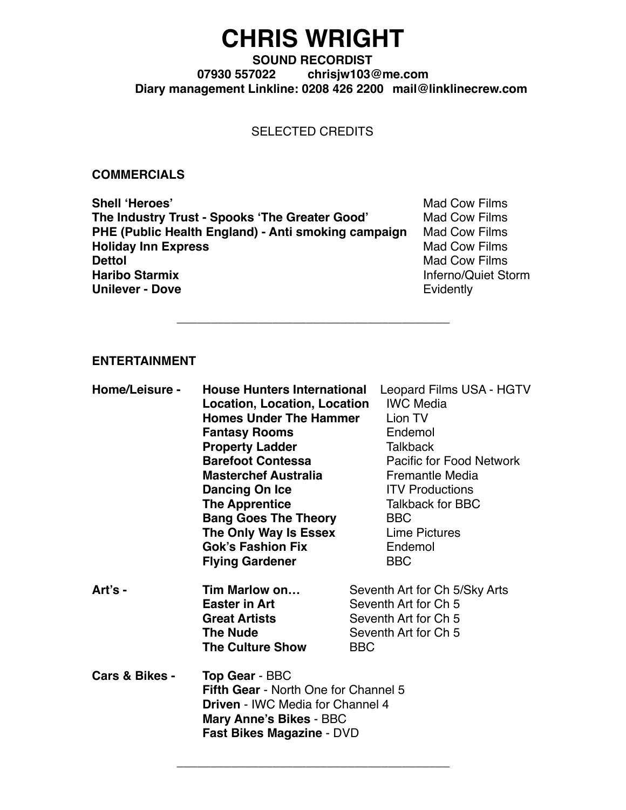# **CHRIS WRIGHT**

### **SOUND RECORDIST 07930 557022 [chrisjw103@me.com](mailto:chrisjw103@me.com) Diary management Linkline: 0208 426 2200 [mail@linklinecrew.com](mailto:mail@linklinecrew.com)**

## SELECTED CREDITS

\_\_\_\_\_\_\_\_\_\_\_\_\_\_\_\_\_\_\_\_\_\_\_\_\_\_\_\_\_\_\_\_\_\_\_\_\_\_\_\_

#### **COMMERCIALS**

**Shell 'Heroes'** Mad Cow Films **The Industry Trust - Spooks 'The Greater Good'** Mad Cow Films<br> **PHE (Public Health England) - Anti smoking campaign** Mad Cow Films **PHE (Public Health England) - Anti smoking campaign Holiday Inn Express** Mad Cow Films **Dettol**<br> **Dettol**<br> **Haribo Starmix**<br> **Haribo Starmix**<br> **Mad Cow Films Unilever - Dove** Evidently

**Inferno/Quiet Storm** 

#### **ENTERTAINMENT**

| Home/Leisure - | <b>House Hunters International</b>                                                                                |            | Leopard Films USA - HGTV      |
|----------------|-------------------------------------------------------------------------------------------------------------------|------------|-------------------------------|
|                | <b>Location, Location, Location</b>                                                                               |            | <b>IWC Media</b>              |
|                | <b>Homes Under The Hammer</b>                                                                                     |            | Lion TV                       |
|                | <b>Fantasy Rooms</b>                                                                                              |            | Endemol                       |
|                | <b>Property Ladder</b>                                                                                            |            | <b>Talkback</b>               |
|                | <b>Barefoot Contessa</b>                                                                                          |            | Pacific for Food Network      |
|                | <b>Masterchef Australia</b>                                                                                       |            | <b>Fremantle Media</b>        |
|                | Dancing On Ice                                                                                                    |            | <b>ITV Productions</b>        |
|                | <b>The Apprentice</b>                                                                                             |            | <b>Talkback for BBC</b>       |
|                | <b>Bang Goes The Theory</b>                                                                                       |            | <b>BBC</b>                    |
|                | The Only Way Is Essex                                                                                             |            | Lime Pictures                 |
|                | <b>Gok's Fashion Fix</b>                                                                                          |            | Endemol                       |
|                | <b>Flying Gardener</b>                                                                                            |            | <b>BBC</b>                    |
| Art's -        | Tim Marlow on                                                                                                     |            | Seventh Art for Ch 5/Sky Arts |
|                | <b>Easter in Art</b>                                                                                              |            | Seventh Art for Ch 5          |
|                | <b>Great Artists</b>                                                                                              |            | Seventh Art for Ch 5          |
|                | <b>The Nude</b>                                                                                                   |            | Seventh Art for Ch 5          |
|                | <b>The Culture Show</b>                                                                                           | <b>BBC</b> |                               |
| Cars & Bikes - | <b>Top Gear - BBC</b>                                                                                             |            |                               |
|                | <b>Fifth Gear - North One for Channel 5</b><br><b>Driven - IWC Media for Channel 4</b><br>Mary Anne's Bikes - BBC |            |                               |
|                | <b>Fast Bikes Magazine - DVD</b>                                                                                  |            |                               |

\_\_\_\_\_\_\_\_\_\_\_\_\_\_\_\_\_\_\_\_\_\_\_\_\_\_\_\_\_\_\_\_\_\_\_\_\_\_\_\_